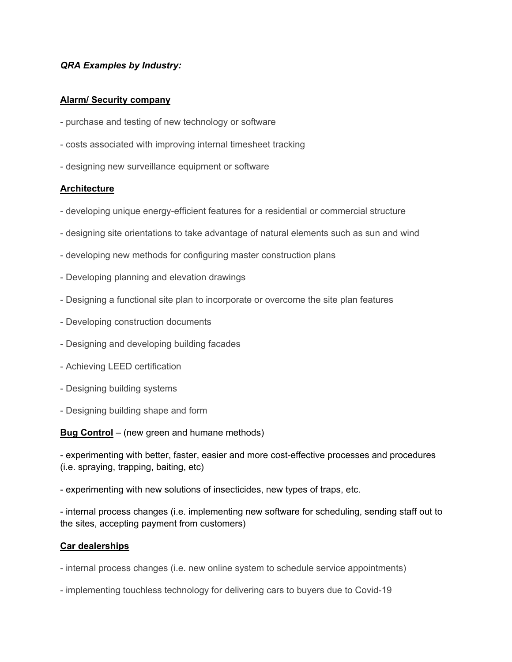### *QRA Examples by Industry:*

#### **Alarm/ Security company**

- purchase and testing of new technology or software
- costs associated with improving internal timesheet tracking
- designing new surveillance equipment or software

### **Architecture**

- developing unique energy-efficient features for a residential or commercial structure
- designing site orientations to take advantage of natural elements such as sun and wind
- developing new methods for configuring master construction plans
- Developing planning and elevation drawings
- Designing a functional site plan to incorporate or overcome the site plan features
- Developing construction documents
- Designing and developing building facades
- Achieving LEED certification
- Designing building systems
- Designing building shape and form

**Bug Control** – (new green and humane methods)

- experimenting with better, faster, easier and more cost-effective processes and procedures (i.e. spraying, trapping, baiting, etc)

- experimenting with new solutions of insecticides, new types of traps, etc.

- internal process changes (i.e. implementing new software for scheduling, sending staff out to the sites, accepting payment from customers)

#### **Car dealerships**

- internal process changes (i.e. new online system to schedule service appointments)

- implementing touchless technology for delivering cars to buyers due to Covid-19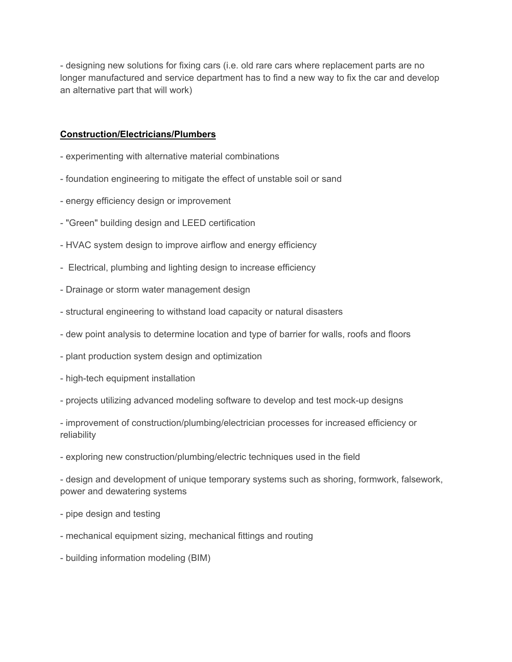- designing new solutions for fixing cars (i.e. old rare cars where replacement parts are no longer manufactured and service department has to find a new way to fix the car and develop an alternative part that will work)

# **Construction/Electricians/Plumbers**

- experimenting with alternative material combinations
- foundation engineering to mitigate the effect of unstable soil or sand
- energy efficiency design or improvement
- "Green" building design and LEED certification
- HVAC system design to improve airflow and energy efficiency
- Electrical, plumbing and lighting design to increase efficiency
- Drainage or storm water management design
- structural engineering to withstand load capacity or natural disasters
- dew point analysis to determine location and type of barrier for walls, roofs and floors
- plant production system design and optimization
- high-tech equipment installation
- projects utilizing advanced modeling software to develop and test mock-up designs
- improvement of construction/plumbing/electrician processes for increased efficiency or reliability
- exploring new construction/plumbing/electric techniques used in the field

- design and development of unique temporary systems such as shoring, formwork, falsework, power and dewatering systems

- pipe design and testing
- mechanical equipment sizing, mechanical fittings and routing
- building information modeling (BIM)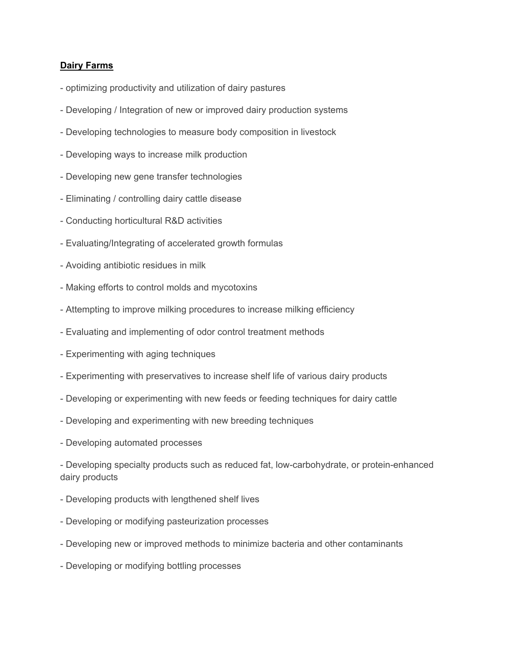## **Dairy Farms**

- optimizing productivity and utilization of dairy pastures
- Developing / Integration of new or improved dairy production systems
- Developing technologies to measure body composition in livestock
- Developing ways to increase milk production
- Developing new gene transfer technologies
- Eliminating / controlling dairy cattle disease
- Conducting horticultural R&D activities
- Evaluating/Integrating of accelerated growth formulas
- Avoiding antibiotic residues in milk
- Making efforts to control molds and mycotoxins
- Attempting to improve milking procedures to increase milking efficiency
- Evaluating and implementing of odor control treatment methods
- Experimenting with aging techniques
- Experimenting with preservatives to increase shelf life of various dairy products
- Developing or experimenting with new feeds or feeding techniques for dairy cattle
- Developing and experimenting with new breeding techniques
- Developing automated processes

- Developing specialty products such as reduced fat, low-carbohydrate, or protein-enhanced dairy products

- Developing products with lengthened shelf lives
- Developing or modifying pasteurization processes
- Developing new or improved methods to minimize bacteria and other contaminants
- Developing or modifying bottling processes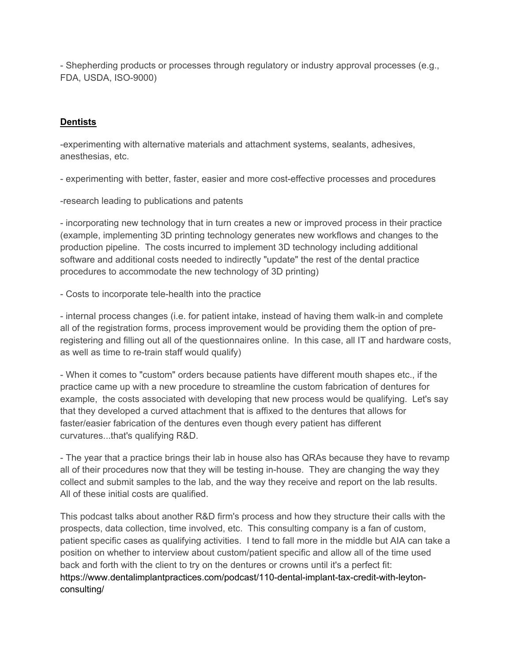- Shepherding products or processes through regulatory or industry approval processes (e.g., FDA, USDA, ISO-9000)

## **Dentists**

-experimenting with alternative materials and attachment systems, sealants, adhesives, anesthesias, etc.

- experimenting with better, faster, easier and more cost-effective processes and procedures

-research leading to publications and patents

- incorporating new technology that in turn creates a new or improved process in their practice (example, implementing 3D printing technology generates new workflows and changes to the production pipeline. The costs incurred to implement 3D technology including additional software and additional costs needed to indirectly "update" the rest of the dental practice procedures to accommodate the new technology of 3D printing)

- Costs to incorporate tele-health into the practice

- internal process changes (i.e. for patient intake, instead of having them walk-in and complete all of the registration forms, process improvement would be providing them the option of preregistering and filling out all of the questionnaires online. In this case, all IT and hardware costs, as well as time to re-train staff would qualify)

- When it comes to "custom" orders because patients have different mouth shapes etc., if the practice came up with a new procedure to streamline the custom fabrication of dentures for example, the costs associated with developing that new process would be qualifying. Let's say that they developed a curved attachment that is affixed to the dentures that allows for faster/easier fabrication of the dentures even though every patient has different curvatures...that's qualifying R&D.

- The year that a practice brings their lab in house also has QRAs because they have to revamp all of their procedures now that they will be testing in-house. They are changing the way they collect and submit samples to the lab, and the way they receive and report on the lab results. All of these initial costs are qualified.

This podcast talks about another R&D firm's process and how they structure their calls with the prospects, data collection, time involved, etc. This consulting company is a fan of custom, patient specific cases as qualifying activities. I tend to fall more in the middle but AIA can take a position on whether to interview about custom/patient specific and allow all of the time used back and forth with the client to try on the dentures or crowns until it's a perfect fit: https://www.dentalimplantpractices.com/podcast/110-dental-implant-tax-credit-with-leytonconsulting/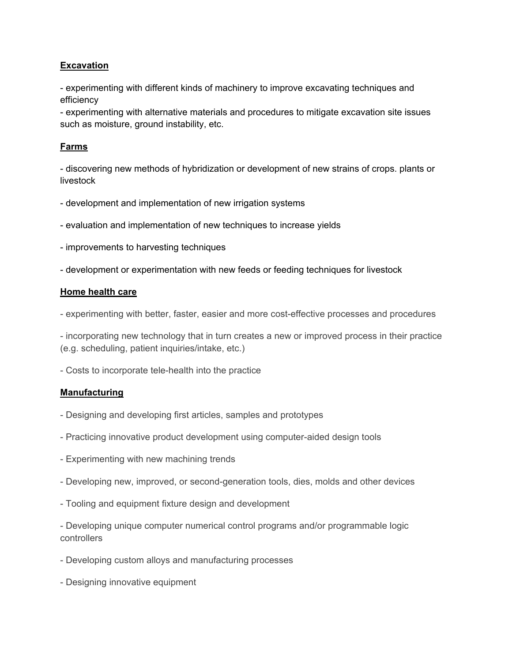# **Excavation**

- experimenting with different kinds of machinery to improve excavating techniques and efficiency

- experimenting with alternative materials and procedures to mitigate excavation site issues such as moisture, ground instability, etc.

# **Farms**

- discovering new methods of hybridization or development of new strains of crops. plants or livestock

- development and implementation of new irrigation systems
- evaluation and implementation of new techniques to increase yields
- improvements to harvesting techniques
- development or experimentation with new feeds or feeding techniques for livestock

#### **Home health care**

- experimenting with better, faster, easier and more cost-effective processes and procedures

- incorporating new technology that in turn creates a new or improved process in their practice (e.g. scheduling, patient inquiries/intake, etc.)

- Costs to incorporate tele-health into the practice

### **Manufacturing**

- Designing and developing first articles, samples and prototypes
- Practicing innovative product development using computer-aided design tools
- Experimenting with new machining trends
- Developing new, improved, or second-generation tools, dies, molds and other devices
- Tooling and equipment fixture design and development

- Developing unique computer numerical control programs and/or programmable logic controllers

- Developing custom alloys and manufacturing processes
- Designing innovative equipment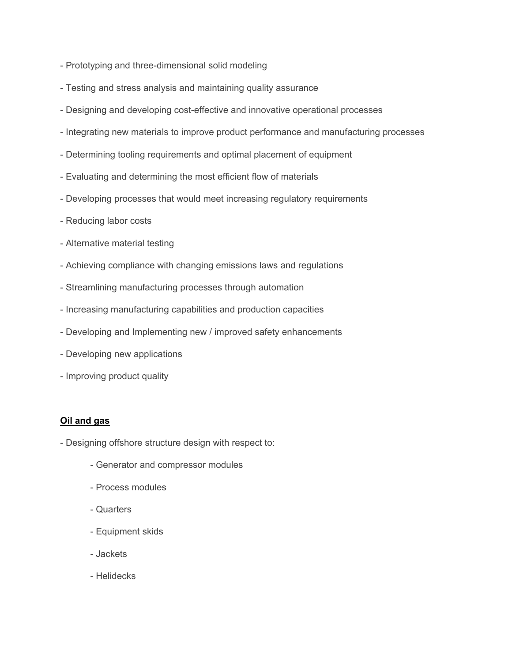- Prototyping and three-dimensional solid modeling
- Testing and stress analysis and maintaining quality assurance
- Designing and developing cost-effective and innovative operational processes
- Integrating new materials to improve product performance and manufacturing processes
- Determining tooling requirements and optimal placement of equipment
- Evaluating and determining the most efficient flow of materials
- Developing processes that would meet increasing regulatory requirements
- Reducing labor costs
- Alternative material testing
- Achieving compliance with changing emissions laws and regulations
- Streamlining manufacturing processes through automation
- Increasing manufacturing capabilities and production capacities
- Developing and Implementing new / improved safety enhancements
- Developing new applications
- Improving product quality

#### **Oil and gas**

- Designing offshore structure design with respect to:
	- Generator and compressor modules
	- Process modules
	- Quarters
	- Equipment skids
	- Jackets
	- Helidecks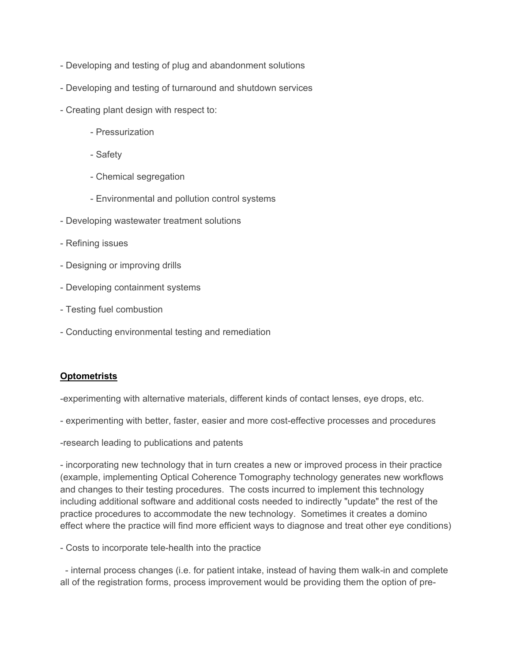- Developing and testing of plug and abandonment solutions
- Developing and testing of turnaround and shutdown services
- Creating plant design with respect to:
	- Pressurization
	- Safety
	- Chemical segregation
	- Environmental and pollution control systems
- Developing wastewater treatment solutions
- Refining issues
- Designing or improving drills
- Developing containment systems
- Testing fuel combustion
- Conducting environmental testing and remediation

### **Optometrists**

-experimenting with alternative materials, different kinds of contact lenses, eye drops, etc.

- experimenting with better, faster, easier and more cost-effective processes and procedures
- -research leading to publications and patents

- incorporating new technology that in turn creates a new or improved process in their practice (example, implementing Optical Coherence Tomography technology generates new workflows and changes to their testing procedures. The costs incurred to implement this technology including additional software and additional costs needed to indirectly "update" the rest of the practice procedures to accommodate the new technology. Sometimes it creates a domino effect where the practice will find more efficient ways to diagnose and treat other eye conditions)

- Costs to incorporate tele-health into the practice

 - internal process changes (i.e. for patient intake, instead of having them walk-in and complete all of the registration forms, process improvement would be providing them the option of pre-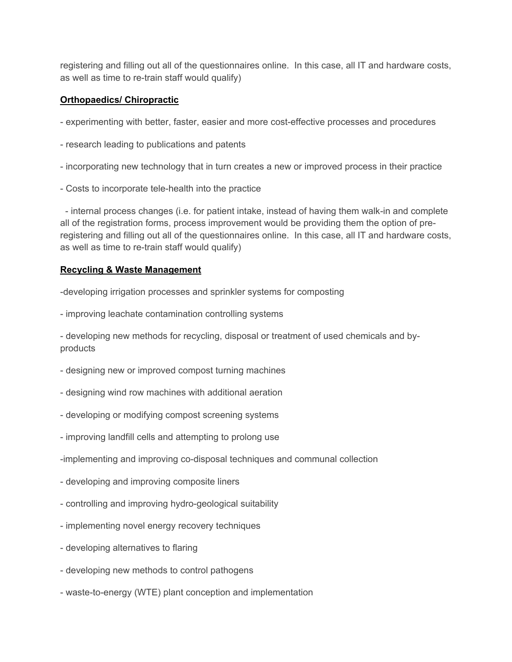registering and filling out all of the questionnaires online. In this case, all IT and hardware costs, as well as time to re-train staff would qualify)

## **Orthopaedics/ Chiropractic**

- experimenting with better, faster, easier and more cost-effective processes and procedures
- research leading to publications and patents
- incorporating new technology that in turn creates a new or improved process in their practice
- Costs to incorporate tele-health into the practice

 - internal process changes (i.e. for patient intake, instead of having them walk-in and complete all of the registration forms, process improvement would be providing them the option of preregistering and filling out all of the questionnaires online. In this case, all IT and hardware costs, as well as time to re-train staff would qualify)

## **Recycling & Waste Management**

-developing irrigation processes and sprinkler systems for composting

- improving leachate contamination controlling systems

- developing new methods for recycling, disposal or treatment of used chemicals and byproducts

- designing new or improved compost turning machines
- designing wind row machines with additional aeration
- developing or modifying compost screening systems
- improving landfill cells and attempting to prolong use
- -implementing and improving co-disposal techniques and communal collection
- developing and improving composite liners
- controlling and improving hydro-geological suitability
- implementing novel energy recovery techniques
- developing alternatives to flaring
- developing new methods to control pathogens
- waste-to-energy (WTE) plant conception and implementation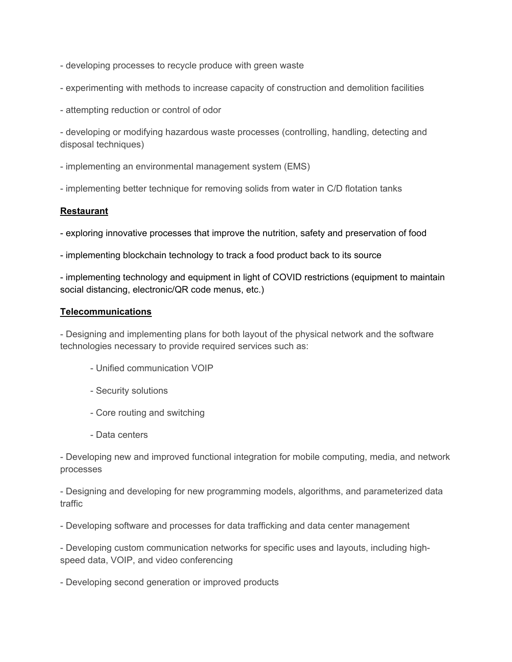- developing processes to recycle produce with green waste
- experimenting with methods to increase capacity of construction and demolition facilities
- attempting reduction or control of odor

- developing or modifying hazardous waste processes (controlling, handling, detecting and disposal techniques)

- implementing an environmental management system (EMS)
- implementing better technique for removing solids from water in C/D flotation tanks

### **Restaurant**

- exploring innovative processes that improve the nutrition, safety and preservation of food
- implementing blockchain technology to track a food product back to its source

- implementing technology and equipment in light of COVID restrictions (equipment to maintain social distancing, electronic/QR code menus, etc.)

#### **Telecommunications**

- Designing and implementing plans for both layout of the physical network and the software technologies necessary to provide required services such as:

- Unified communication VOIP
- Security solutions
- Core routing and switching
- Data centers

- Developing new and improved functional integration for mobile computing, media, and network processes

- Designing and developing for new programming models, algorithms, and parameterized data traffic

- Developing software and processes for data trafficking and data center management

- Developing custom communication networks for specific uses and layouts, including highspeed data, VOIP, and video conferencing

- Developing second generation or improved products